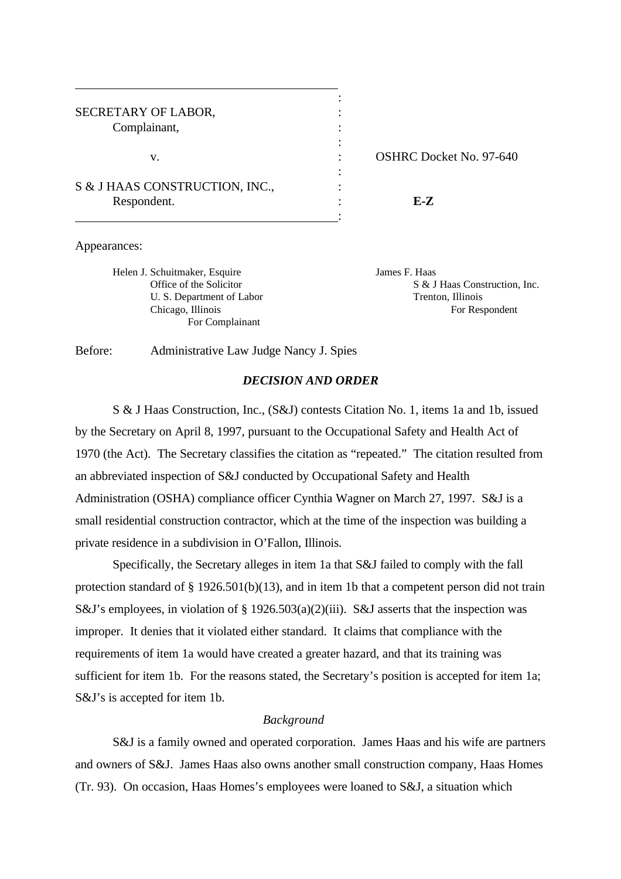| SECRETARY OF LABOR,            |                 |
|--------------------------------|-----------------|
| Complainant,                   |                 |
|                                |                 |
| v.                             | <b>OSHRC</b> Do |
|                                |                 |
| S & J HAAS CONSTRUCTION, INC., |                 |
| Respondent.                    | F.-7.           |
|                                |                 |

OSHRC Docket No. 97-640

Appearances:

Helen J. Schuitmaker, Esquire James F. Haas U. S. Department of Labor Trenton, Illinois For Complainant

Office of the Solicitor S & J Haas Construction, Inc. Chicago, Illinois For Respondent

Before: Administrative Law Judge Nancy J. Spies

# *DECISION AND ORDER*

S & J Haas Construction, Inc., (S&J) contests Citation No. 1, items 1a and 1b, issued by the Secretary on April 8, 1997, pursuant to the Occupational Safety and Health Act of 1970 (the Act). The Secretary classifies the citation as "repeated." The citation resulted from an abbreviated inspection of S&J conducted by Occupational Safety and Health Administration (OSHA) compliance officer Cynthia Wagner on March 27, 1997. S&J is a small residential construction contractor, which at the time of the inspection was building a private residence in a subdivision in O'Fallon, Illinois.

 Specifically, the Secretary alleges in item 1a that S&J failed to comply with the fall protection standard of § 1926.501(b)(13), and in item 1b that a competent person did not train S&J's employees, in violation of § 1926.503(a)(2)(iii). S&J asserts that the inspection was improper. It denies that it violated either standard. It claims that compliance with the requirements of item 1a would have created a greater hazard, and that its training was sufficient for item 1b. For the reasons stated, the Secretary's position is accepted for item 1a; S&J's is accepted for item 1b.

### *Background*

S&J is a family owned and operated corporation. James Haas and his wife are partners and owners of S&J. James Haas also owns another small construction company, Haas Homes (Tr. 93). On occasion, Haas Homes's employees were loaned to S&J, a situation which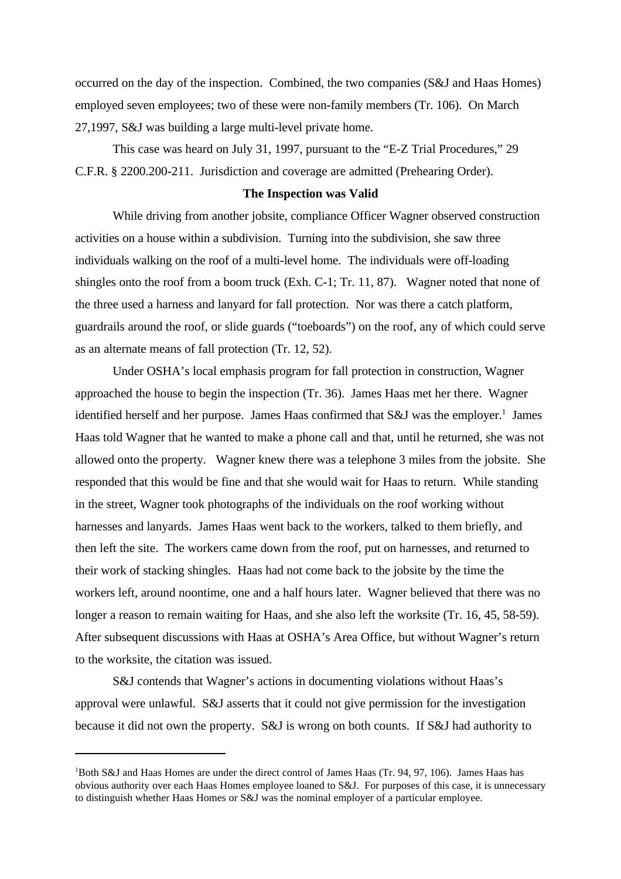occurred on the day of the inspection. Combined, the two companies (S&J and Haas Homes) employed seven employees; two of these were non-family members (Tr. 106). On March 27,1997, S&J was building a large multi-level private home.

 This case was heard on July 31, 1997, pursuant to the "E-Z Trial Procedures," 29 C.F.R. § 2200.200-211. Jurisdiction and coverage are admitted (Prehearing Order).

#### **The Inspection was Valid**

While driving from another jobsite, compliance Officer Wagner observed construction activities on a house within a subdivision. Turning into the subdivision, she saw three individuals walking on the roof of a multi-level home. The individuals were off-loading shingles onto the roof from a boom truck (Exh. C-1; Tr. 11, 87). Wagner noted that none of the three used a harness and lanyard for fall protection. Nor was there a catch platform, guardrails around the roof, or slide guards ("toeboards") on the roof, any of which could serve as an alternate means of fall protection (Tr. 12, 52).

Under OSHA's local emphasis program for fall protection in construction, Wagner approached the house to begin the inspection (Tr. 36). James Haas met her there. Wagner identified herself and her purpose. James Haas confirmed that S&J was the employer.<sup>1</sup> James Haas told Wagner that he wanted to make a phone call and that, until he returned, she was not allowed onto the property. Wagner knew there was a telephone 3 miles from the jobsite. She responded that this would be fine and that she would wait for Haas to return. While standing in the street, Wagner took photographs of the individuals on the roof working without harnesses and lanyards. James Haas went back to the workers, talked to them briefly, and then left the site. The workers came down from the roof, put on harnesses, and returned to their work of stacking shingles. Haas had not come back to the jobsite by the time the workers left, around noontime, one and a half hours later. Wagner believed that there was no longer a reason to remain waiting for Haas, and she also left the worksite (Tr. 16, 45, 58-59). After subsequent discussions with Haas at OSHA's Area Office, but without Wagner's return to the worksite, the citation was issued.

 S&J contends that Wagner's actions in documenting violations without Haas's approval were unlawful. S&J asserts that it could not give permission for the investigation because it did not own the property. S&J is wrong on both counts. If S&J had authority to

<sup>1</sup>Both S&J and Haas Homes are under the direct control of James Haas (Tr. 94, 97, 106). James Haas has obvious authority over each Haas Homes employee loaned to S&J. For purposes of this case, it is unnecessary to distinguish whether Haas Homes or S&J was the nominal employer of a particular employee.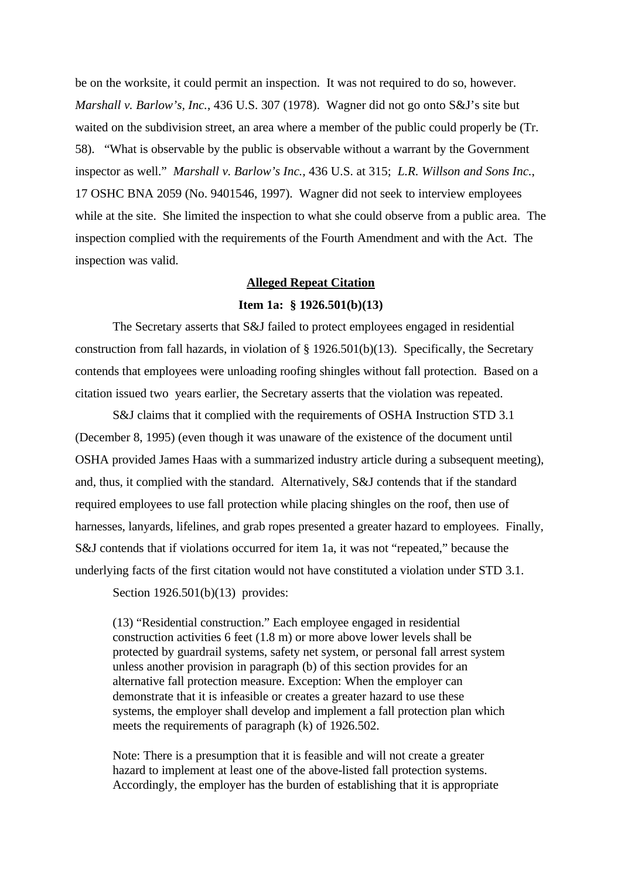be on the worksite, it could permit an inspection. It was not required to do so, however. *Marshall v. Barlow's, Inc.*, 436 U.S. 307 (1978). Wagner did not go onto S&J's site but waited on the subdivision street, an area where a member of the public could properly be (Tr. 58). "What is observable by the public is observable without a warrant by the Government inspector as well." *Marshall v. Barlow's Inc.,* 436 U.S. at 315; *L.R. Willson and Sons Inc.*, 17 OSHC BNA 2059 (No. 9401546, 1997). Wagner did not seek to interview employees while at the site. She limited the inspection to what she could observe from a public area. The inspection complied with the requirements of the Fourth Amendment and with the Act. The inspection was valid.

## **Alleged Repeat Citation**

#### **Item 1a: § 1926.501(b)(13)**

The Secretary asserts that S&J failed to protect employees engaged in residential construction from fall hazards, in violation of  $\S 1926.501(b)(13)$ . Specifically, the Secretary contends that employees were unloading roofing shingles without fall protection. Based on a citation issued two years earlier, the Secretary asserts that the violation was repeated.

S&J claims that it complied with the requirements of OSHA Instruction STD 3.1 (December 8, 1995) (even though it was unaware of the existence of the document until OSHA provided James Haas with a summarized industry article during a subsequent meeting), and, thus, it complied with the standard. Alternatively, S&J contends that if the standard required employees to use fall protection while placing shingles on the roof, then use of harnesses, lanyards, lifelines, and grab ropes presented a greater hazard to employees. Finally, S&J contends that if violations occurred for item 1a, it was not "repeated," because the underlying facts of the first citation would not have constituted a violation under STD 3.1.

Section 1926.501(b)(13) provides:

(13) "Residential construction." Each employee engaged in residential construction activities 6 feet (1.8 m) or more above lower levels shall be protected by guardrail systems, safety net system, or personal fall arrest system unless another provision in paragraph (b) of this section provides for an alternative fall protection measure. Exception: When the employer can demonstrate that it is infeasible or creates a greater hazard to use these systems, the employer shall develop and implement a fall protection plan which meets the requirements of paragraph (k) of 1926.502.

Note: There is a presumption that it is feasible and will not create a greater hazard to implement at least one of the above-listed fall protection systems. Accordingly, the employer has the burden of establishing that it is appropriate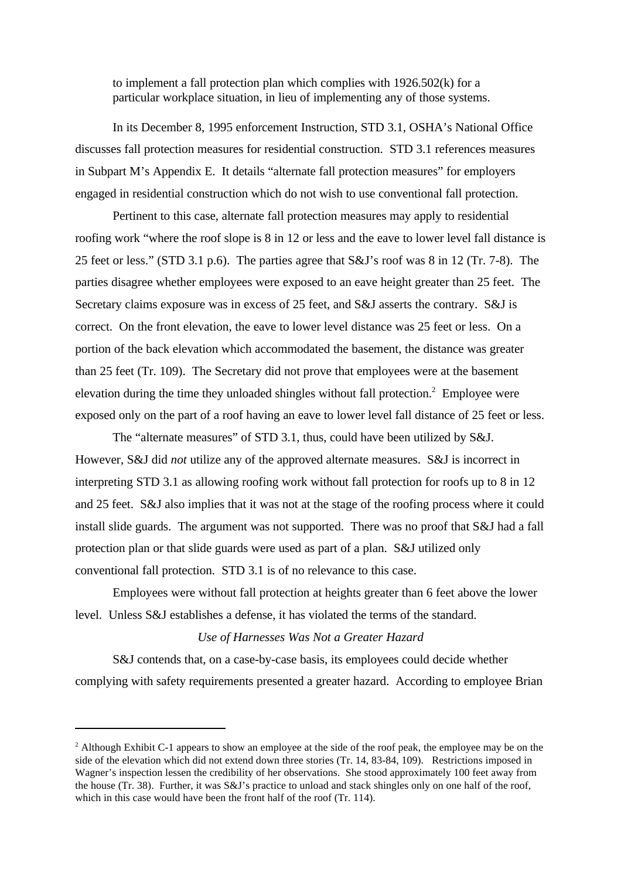to implement a fall protection plan which complies with 1926.502(k) for a particular workplace situation, in lieu of implementing any of those systems.

In its December 8, 1995 enforcement Instruction, STD 3.1, OSHA's National Office discusses fall protection measures for residential construction. STD 3.1 references measures in Subpart M's Appendix E. It details "alternate fall protection measures" for employers engaged in residential construction which do not wish to use conventional fall protection.

Pertinent to this case, alternate fall protection measures may apply to residential roofing work "where the roof slope is 8 in 12 or less and the eave to lower level fall distance is 25 feet or less." (STD 3.1 p.6). The parties agree that S&J's roof was 8 in 12 (Tr. 7-8). The parties disagree whether employees were exposed to an eave height greater than 25 feet. The Secretary claims exposure was in excess of 25 feet, and S&J asserts the contrary. S&J is correct. On the front elevation, the eave to lower level distance was 25 feet or less. On a portion of the back elevation which accommodated the basement, the distance was greater than 25 feet (Tr. 109). The Secretary did not prove that employees were at the basement elevation during the time they unloaded shingles without fall protection.<sup>2</sup> Employee were exposed only on the part of a roof having an eave to lower level fall distance of 25 feet or less.

The "alternate measures" of STD 3.1, thus, could have been utilized by S&J. However, S&J did *not* utilize any of the approved alternate measures. S&J is incorrect in interpreting STD 3.1 as allowing roofing work without fall protection for roofs up to 8 in 12 and 25 feet. S&J also implies that it was not at the stage of the roofing process where it could install slide guards. The argument was not supported. There was no proof that S&J had a fall protection plan or that slide guards were used as part of a plan. S&J utilized only conventional fall protection. STD 3.1 is of no relevance to this case.

Employees were without fall protection at heights greater than 6 feet above the lower level. Unless S&J establishes a defense, it has violated the terms of the standard.

### *Use of Harnesses Was Not a Greater Hazard*

S&J contends that, on a case-by-case basis, its employees could decide whether complying with safety requirements presented a greater hazard. According to employee Brian

<sup>&</sup>lt;sup>2</sup> Although Exhibit C-1 appears to show an employee at the side of the roof peak, the employee may be on the side of the elevation which did not extend down three stories (Tr. 14, 83-84, 109). Restrictions imposed in Wagner's inspection lessen the credibility of her observations. She stood approximately 100 feet away from the house (Tr. 38). Further, it was S&J's practice to unload and stack shingles only on one half of the roof, which in this case would have been the front half of the roof (Tr. 114).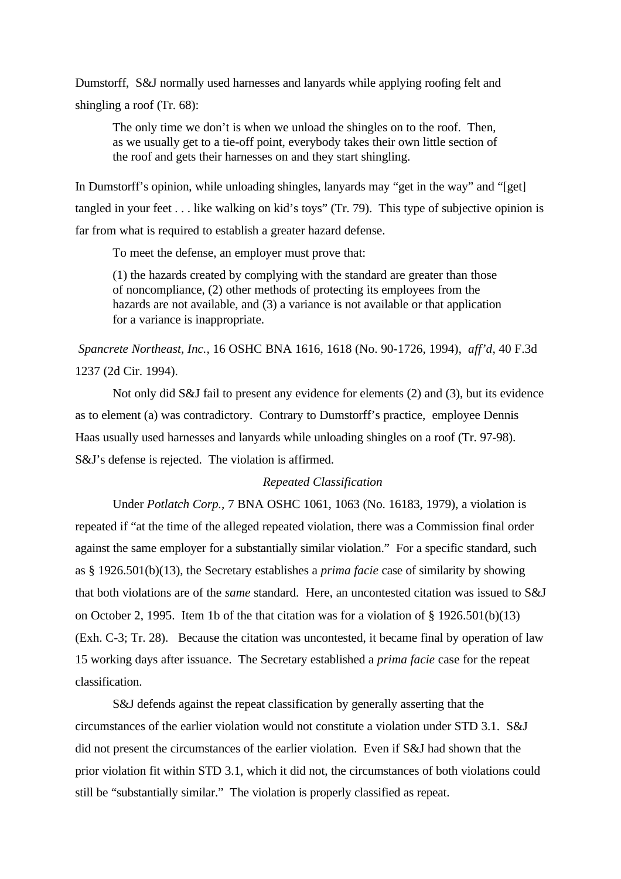Dumstorff, S&J normally used harnesses and lanyards while applying roofing felt and shingling a roof (Tr. 68):

The only time we don't is when we unload the shingles on to the roof. Then, as we usually get to a tie-off point, everybody takes their own little section of the roof and gets their harnesses on and they start shingling.

In Dumstorff's opinion, while unloading shingles, lanyards may "get in the way" and "[get] tangled in your feet . . . like walking on kid's toys" (Tr. 79). This type of subjective opinion is far from what is required to establish a greater hazard defense.

To meet the defense, an employer must prove that:

(1) the hazards created by complying with the standard are greater than those of noncompliance, (2) other methods of protecting its employees from the hazards are not available, and (3) a variance is not available or that application for a variance is inappropriate.

*Spancrete Northeast, Inc.,* 16 OSHC BNA 1616, 1618 (No. 90-1726, 1994), *aff'd*, 40 F.3d 1237 (2d Cir. 1994).

Not only did S&J fail to present any evidence for elements (2) and (3), but its evidence as to element (a) was contradictory. Contrary to Dumstorff's practice, employee Dennis Haas usually used harnesses and lanyards while unloading shingles on a roof (Tr. 97-98). S&J's defense is rejected. The violation is affirmed.

# *Repeated Classification*

Under *Potlatch Corp.,* 7 BNA OSHC 1061, 1063 (No. 16183, 1979), a violation is repeated if "at the time of the alleged repeated violation, there was a Commission final order against the same employer for a substantially similar violation." For a specific standard, such as § 1926.501(b)(13), the Secretary establishes a *prima facie* case of similarity by showing that both violations are of the *same* standard. Here, an uncontested citation was issued to S&J on October 2, 1995. Item 1b of the that citation was for a violation of § 1926.501(b)(13) (Exh. C-3; Tr. 28). Because the citation was uncontested, it became final by operation of law 15 working days after issuance. The Secretary established a *prima facie* case for the repeat classification.

S&J defends against the repeat classification by generally asserting that the circumstances of the earlier violation would not constitute a violation under STD 3.1. S&J did not present the circumstances of the earlier violation. Even if S&J had shown that the prior violation fit within STD 3.1, which it did not, the circumstances of both violations could still be "substantially similar." The violation is properly classified as repeat.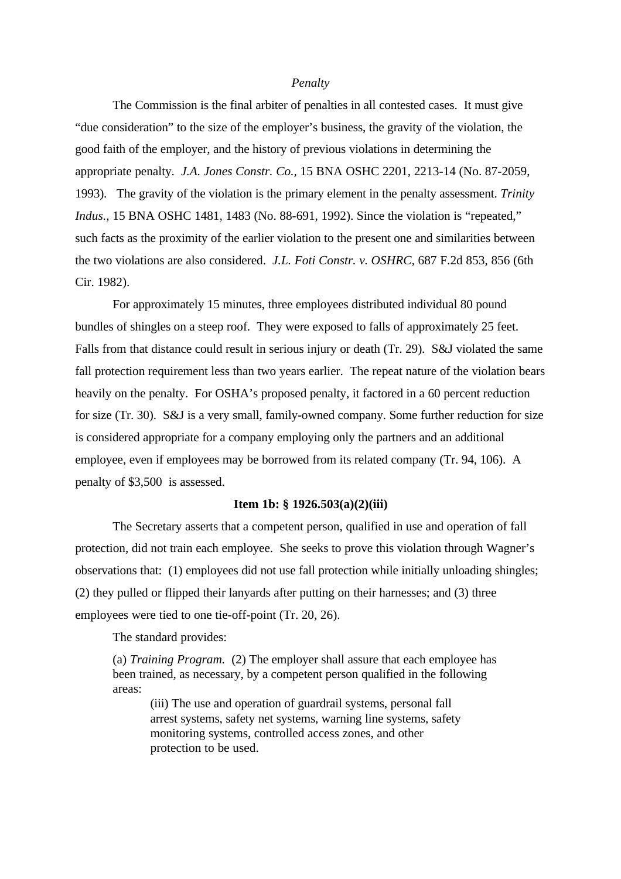#### *Penalty*

The Commission is the final arbiter of penalties in all contested cases. It must give "due consideration" to the size of the employer's business, the gravity of the violation, the good faith of the employer, and the history of previous violations in determining the appropriate penalty. *J.A. Jones Constr. Co.,* 15 BNA OSHC 2201, 2213-14 (No. 87-2059, 1993). The gravity of the violation is the primary element in the penalty assessment. *Trinity Indus.*, 15 BNA OSHC 1481, 1483 (No. 88-691, 1992). Since the violation is "repeated," such facts as the proximity of the earlier violation to the present one and similarities between the two violations are also considered. *J.L. Foti Constr. v. OSHRC,* 687 F.2d 853, 856 (6th Cir. 1982).

For approximately 15 minutes, three employees distributed individual 80 pound bundles of shingles on a steep roof. They were exposed to falls of approximately 25 feet. Falls from that distance could result in serious injury or death (Tr. 29). S&J violated the same fall protection requirement less than two years earlier. The repeat nature of the violation bears heavily on the penalty. For OSHA's proposed penalty, it factored in a 60 percent reduction for size (Tr. 30). S&J is a very small, family-owned company. Some further reduction for size is considered appropriate for a company employing only the partners and an additional employee, even if employees may be borrowed from its related company (Tr. 94, 106). A penalty of \$3,500 is assessed.

### **Item 1b: § 1926.503(a)(2)(iii)**

The Secretary asserts that a competent person, qualified in use and operation of fall protection, did not train each employee. She seeks to prove this violation through Wagner's observations that: (1) employees did not use fall protection while initially unloading shingles; (2) they pulled or flipped their lanyards after putting on their harnesses; and (3) three employees were tied to one tie-off-point (Tr. 20, 26).

The standard provides:

(a) *Training Program.* (2) The employer shall assure that each employee has been trained, as necessary, by a competent person qualified in the following areas:

(iii) The use and operation of guardrail systems, personal fall arrest systems, safety net systems, warning line systems, safety monitoring systems, controlled access zones, and other protection to be used.